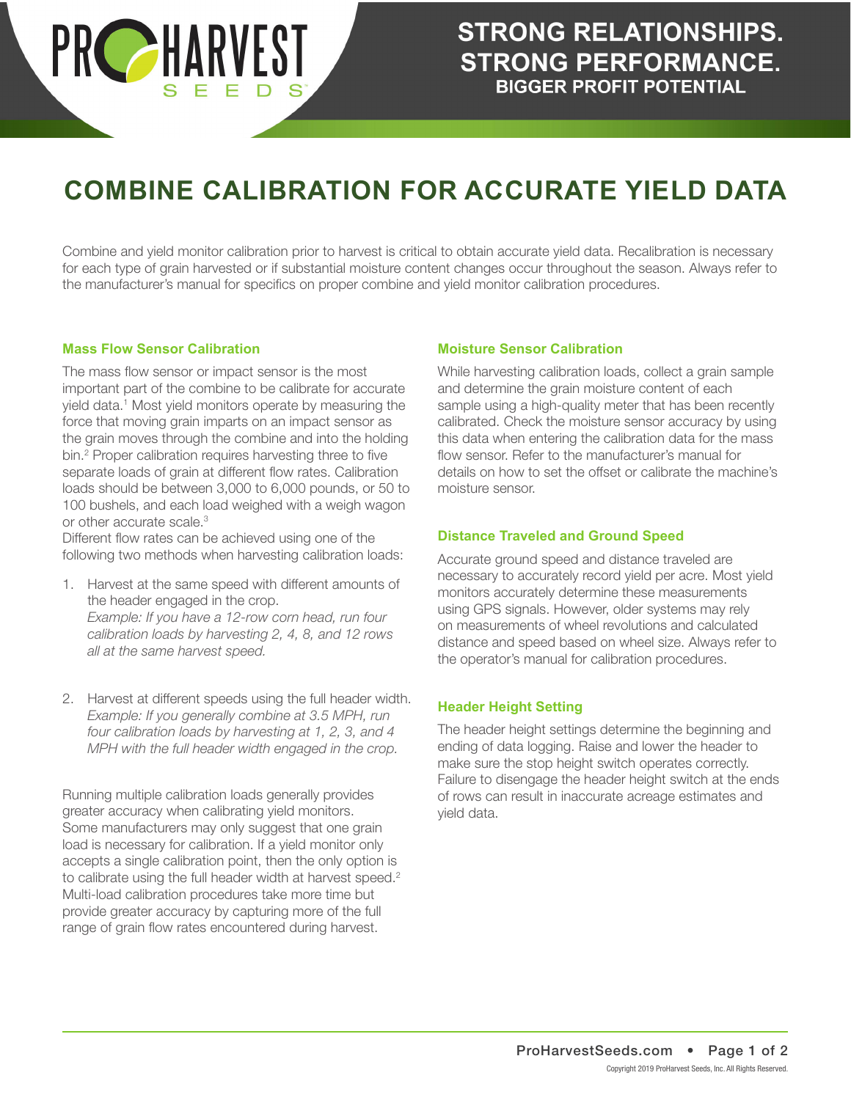

# **COMBINE CALIBRATION FOR ACCURATE YIELD DATA**

Combine and yield monitor calibration prior to harvest is critical to obtain accurate yield data. Recalibration is necessary for each type of grain harvested or if substantial moisture content changes occur throughout the season. Always refer to the manufacturer's manual for specifics on proper combine and yield monitor calibration procedures.

#### **Mass Flow Sensor Calibration**

The mass flow sensor or impact sensor is the most important part of the combine to be calibrate for accurate yield data.<sup>1</sup> Most yield monitors operate by measuring the force that moving grain imparts on an impact sensor as the grain moves through the combine and into the holding bin.<sup>2</sup> Proper calibration requires harvesting three to five separate loads of grain at different flow rates. Calibration loads should be between 3,000 to 6,000 pounds, or 50 to 100 bushels, and each load weighed with a weigh wagon or other accurate scale.<sup>3</sup>

Different flow rates can be achieved using one of the following two methods when harvesting calibration loads:

- 1. Harvest at the same speed with different amounts of the header engaged in the crop. *Example: If you have a 12-row corn head, run four calibration loads by harvesting 2, 4, 8, and 12 rows all at the same harvest speed.*
- 2. Harvest at different speeds using the full header width. *Example: If you generally combine at 3.5 MPH, run four calibration loads by harvesting at 1, 2, 3, and 4 MPH with the full header width engaged in the crop.*

Running multiple calibration loads generally provides greater accuracy when calibrating yield monitors. Some manufacturers may only suggest that one grain load is necessary for calibration. If a yield monitor only accepts a single calibration point, then the only option is to calibrate using the full header width at harvest speed.<sup>2</sup> Multi-load calibration procedures take more time but provide greater accuracy by capturing more of the full range of grain flow rates encountered during harvest.

#### **Moisture Sensor Calibration**

While harvesting calibration loads, collect a grain sample and determine the grain moisture content of each sample using a high-quality meter that has been recently calibrated. Check the moisture sensor accuracy by using this data when entering the calibration data for the mass flow sensor. Refer to the manufacturer's manual for details on how to set the offset or calibrate the machine's moisture sensor.

### **Distance Traveled and Ground Speed**

Accurate ground speed and distance traveled are necessary to accurately record yield per acre. Most yield monitors accurately determine these measurements using GPS signals. However, older systems may rely on measurements of wheel revolutions and calculated distance and speed based on wheel size. Always refer to the operator's manual for calibration procedures.

#### **Header Height Setting**

The header height settings determine the beginning and ending of data logging. Raise and lower the header to make sure the stop height switch operates correctly. Failure to disengage the header height switch at the ends of rows can result in inaccurate acreage estimates and yield data.